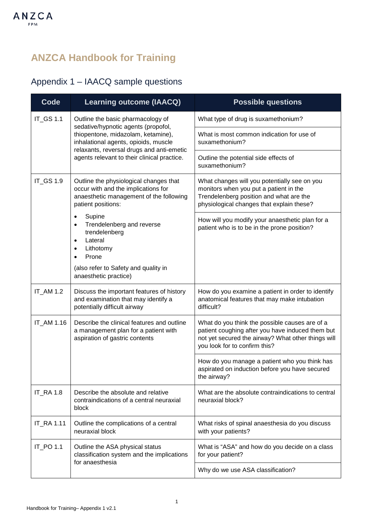## **ANZCA Handbook for Training**

## Appendix 1 – IAACQ sample questions

| Code              | <b>Learning outcome (IAACQ)</b>                                                                                                                                                                                                                    | <b>Possible questions</b>                                                                                                                                                                 |
|-------------------|----------------------------------------------------------------------------------------------------------------------------------------------------------------------------------------------------------------------------------------------------|-------------------------------------------------------------------------------------------------------------------------------------------------------------------------------------------|
| IT_GS 1.1         | Outline the basic pharmacology of<br>sedative/hypnotic agents (propofol,<br>thiopentone, midazolam, ketamine),<br>inhalational agents, opioids, muscle<br>relaxants, reversal drugs and anti-emetic<br>agents relevant to their clinical practice. | What type of drug is suxamethonium?                                                                                                                                                       |
|                   |                                                                                                                                                                                                                                                    | What is most common indication for use of<br>suxamethonium?                                                                                                                               |
|                   |                                                                                                                                                                                                                                                    | Outline the potential side effects of<br>suxamethonium?                                                                                                                                   |
| IT_GS 1.9         | Outline the physiological changes that<br>occur with and the implications for<br>anaesthetic management of the following<br>patient positions:                                                                                                     | What changes will you potentially see on you<br>monitors when you put a patient in the<br>Trendelenberg position and what are the<br>physiological changes that explain these?            |
|                   | Supine<br>$\bullet$<br>Trendelenberg and reverse<br>$\bullet$<br>trendelenberg<br>Lateral<br>$\bullet$<br>Lithotomy<br>Prone<br>(also refer to Safety and quality in<br>anaesthetic practice)                                                      | How will you modify your anaesthetic plan for a<br>patient who is to be in the prone position?                                                                                            |
| IT_AM 1.2         | Discuss the important features of history<br>and examination that may identify a<br>potentially difficult airway                                                                                                                                   | How do you examine a patient in order to identify<br>anatomical features that may make intubation<br>difficult?                                                                           |
| IT_AM 1.16        | Describe the clinical features and outline<br>a management plan for a patient with<br>aspiration of gastric contents                                                                                                                               | What do you think the possible causes are of a<br>patient coughing after you have induced them but<br>not yet secured the airway? What other things will<br>you look for to confirm this? |
|                   |                                                                                                                                                                                                                                                    | How do you manage a patient who you think has<br>aspirated on induction before you have secured<br>the airway?                                                                            |
| <b>IT_RA 1.8</b>  | Describe the absolute and relative<br>contraindications of a central neuraxial<br>block                                                                                                                                                            | What are the absolute contraindications to central<br>neuraxial block?                                                                                                                    |
| <b>IT_RA 1.11</b> | Outline the complications of a central<br>neuraxial block                                                                                                                                                                                          | What risks of spinal anaesthesia do you discuss<br>with your patients?                                                                                                                    |
| IT_PO 1.1         | Outline the ASA physical status<br>classification system and the implications<br>for anaesthesia                                                                                                                                                   | What is "ASA" and how do you decide on a class<br>for your patient?                                                                                                                       |
|                   |                                                                                                                                                                                                                                                    | Why do we use ASA classification?                                                                                                                                                         |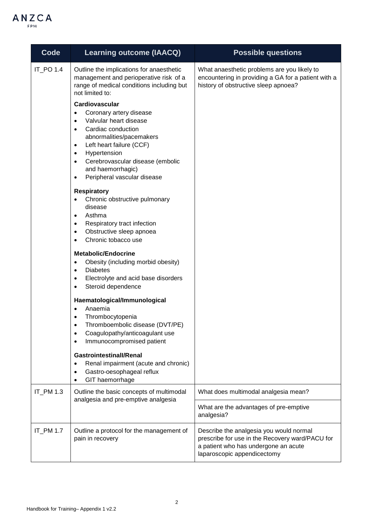

| Code      | <b>Learning outcome (IAACQ)</b>                                                                                                                                                                                                                                                                                            | <b>Possible questions</b>                                                                                                                                         |
|-----------|----------------------------------------------------------------------------------------------------------------------------------------------------------------------------------------------------------------------------------------------------------------------------------------------------------------------------|-------------------------------------------------------------------------------------------------------------------------------------------------------------------|
| IT_PO 1.4 | Outline the implications for anaesthetic<br>management and perioperative risk of a<br>range of medical conditions including but<br>not limited to:                                                                                                                                                                         | What anaesthetic problems are you likely to<br>encountering in providing a GA for a patient with a<br>history of obstructive sleep apnoea?                        |
|           | Cardiovascular<br>Coronary artery disease<br>Valvular heart disease<br>Cardiac conduction<br>$\bullet$<br>abnormalities/pacemakers<br>Left heart failure (CCF)<br>$\bullet$<br>Hypertension<br>$\bullet$<br>Cerebrovascular disease (embolic<br>$\bullet$<br>and haemorrhagic)<br>Peripheral vascular disease<br>$\bullet$ |                                                                                                                                                                   |
|           | <b>Respiratory</b><br>Chronic obstructive pulmonary<br>disease<br>Asthma<br>$\bullet$<br>Respiratory tract infection<br>٠<br>Obstructive sleep apnoea<br>$\bullet$<br>Chronic tobacco use<br>$\bullet$                                                                                                                     |                                                                                                                                                                   |
|           | <b>Metabolic/Endocrine</b><br>Obesity (including morbid obesity)<br>$\bullet$<br><b>Diabetes</b><br>$\bullet$<br>Electrolyte and acid base disorders<br>$\bullet$<br>Steroid dependence<br>$\bullet$                                                                                                                       |                                                                                                                                                                   |
|           | Haematological/Immunological<br>Anaemia<br>$\bullet$<br>Thrombocytopenia<br>Thromboembolic disease (DVT/PE)<br>Coagulopathy/anticoagulant use<br>Immunocompromised patient                                                                                                                                                 |                                                                                                                                                                   |
|           | <b>Gastrointestinall/Renal</b><br>Renal impairment (acute and chronic)<br>$\bullet$<br>Gastro-oesophageal reflux<br>GIT haemorrhage                                                                                                                                                                                        |                                                                                                                                                                   |
| IT_PM 1.3 | Outline the basic concepts of multimodal<br>analgesia and pre-emptive analgesia                                                                                                                                                                                                                                            | What does multimodal analgesia mean?                                                                                                                              |
|           |                                                                                                                                                                                                                                                                                                                            | What are the advantages of pre-emptive<br>analgesia?                                                                                                              |
| IT_PM 1.7 | Outline a protocol for the management of<br>pain in recovery                                                                                                                                                                                                                                                               | Describe the analgesia you would normal<br>prescribe for use in the Recovery ward/PACU for<br>a patient who has undergone an acute<br>laparoscopic appendicectomy |